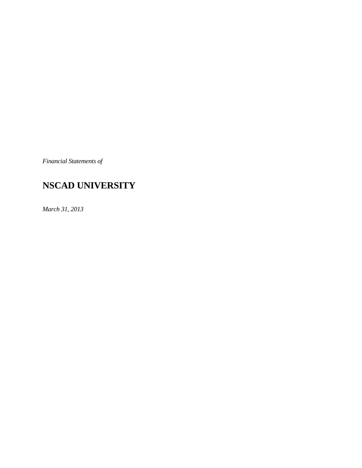*Financial Statements of*

# **NSCAD UNIVERSITY**

*March 31, 2013*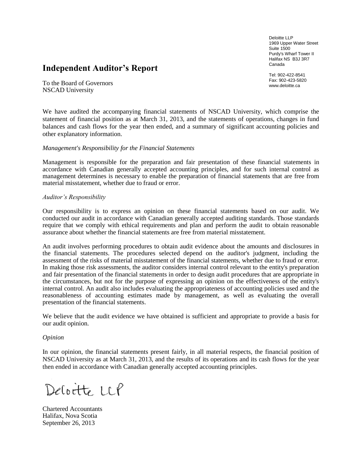# **Independent Auditor's Report**

To the Board of Governors NSCAD University

We have audited the accompanying financial statements of NSCAD University, which comprise the statement of financial position as at March 31, 2013, and the statements of operations, changes in fund balances and cash flows for the year then ended, and a summary of significant accounting policies and other explanatory information.

## *Management's Responsibility for the Financial Statements*

Management is responsible for the preparation and fair presentation of these financial statements in accordance with Canadian generally accepted accounting principles, and for such internal control as management determines is necessary to enable the preparation of financial statements that are free from material misstatement, whether due to fraud or error.

## *Auditor's Responsibility*

Our responsibility is to express an opinion on these financial statements based on our audit. We conducted our audit in accordance with Canadian generally accepted auditing standards. Those standards require that we comply with ethical requirements and plan and perform the audit to obtain reasonable assurance about whether the financial statements are free from material misstatement.

An audit involves performing procedures to obtain audit evidence about the amounts and disclosures in the financial statements. The procedures selected depend on the auditor's judgment, including the assessment of the risks of material misstatement of the financial statements, whether due to fraud or error. In making those risk assessments, the auditor considers internal control relevant to the entity's preparation and fair presentation of the financial statements in order to design audit procedures that are appropriate in the circumstances, but not for the purpose of expressing an opinion on the effectiveness of the entity's internal control. An audit also includes evaluating the appropriateness of accounting policies used and the reasonableness of accounting estimates made by management, as well as evaluating the overall presentation of the financial statements.

We believe that the audit evidence we have obtained is sufficient and appropriate to provide a basis for our audit opinion.

## *Opinion*

In our opinion, the financial statements present fairly, in all material respects, the financial position of NSCAD University as at March 31, 2013, and the results of its operations and its cash flows for the year then ended in accordance with Canadian generally accepted accounting principles.

Deloitte LCP

Chartered Accountants Halifax, Nova Scotia September 26, 2013

Deloitte LLP 1969 Upper Water Street Suite 1500 Purdy's Wharf Tower II Halifax NS B3J 3R7 Canada

Tel: 902-422-8541 Fax: 902-423-5820 www.deloitte.ca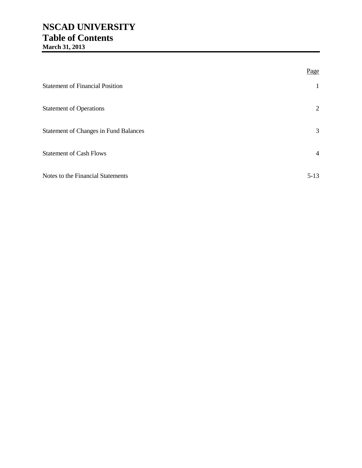# **NSCAD UNIVERSITY Table of Contents March 31, 2013**

|                                              | Page           |
|----------------------------------------------|----------------|
| <b>Statement of Financial Position</b>       | $\mathbf{1}$   |
| <b>Statement of Operations</b>               | 2              |
| <b>Statement of Changes in Fund Balances</b> | 3              |
| <b>Statement of Cash Flows</b>               | $\overline{4}$ |
| Notes to the Financial Statements            | $5-13$         |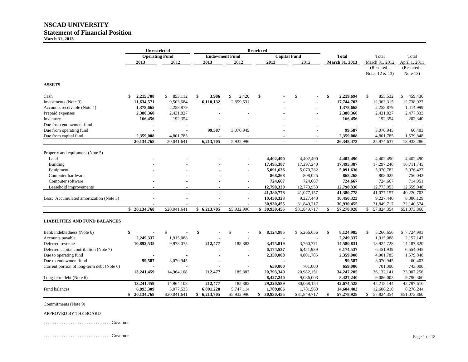# **NSCAD UNIVERSITY Statement of Financial Position**

**March 31, 2013**

|                                            | <b>Unrestricted</b>      |                          | <b>Restricted</b>     |                          |                     |                      |                  |                            |                         |
|--------------------------------------------|--------------------------|--------------------------|-----------------------|--------------------------|---------------------|----------------------|------------------|----------------------------|-------------------------|
|                                            | <b>Operating Fund</b>    |                          | <b>Endowment Fund</b> |                          | <b>Capital Fund</b> |                      | <b>Total</b>     | Total                      | Total                   |
|                                            | 2013                     | 2012                     | 2013                  | 2012                     | 2013                | 2012                 | March 31, 2013   | March 31, 2012             | April 1, 2011           |
|                                            |                          |                          |                       |                          |                     |                      |                  | (Restated -                | (Restated -             |
|                                            |                          |                          |                       |                          |                     |                      |                  | Notes 12 & 13)             | Note $13)$              |
| <b>ASSETS</b>                              |                          |                          |                       |                          |                     |                      |                  |                            |                         |
| Cash                                       | 2,215,708<br>\$          | \$<br>853,112            | \$<br>3,986           | \$<br>2,420              | \$                  | \$<br>$\overline{a}$ | \$<br>2,219,694  | $\mathbb{S}$<br>855,532    | 459,436<br>$\mathbb{S}$ |
| Investments (Note 3)                       | 11,634,571               | 9,503,684                | 6,110,132             | 2,859,631                |                     |                      | 17,744,703       | 12,363,315                 | 12,738,927              |
| Accounts receivable (Note 4)               | 1,378,665                | 2,258,879                |                       |                          |                     |                      | 1,378,665        | 2,258,879                  | 1,414,999               |
| Prepaid expenses                           | 2,380,360                | 2,431,827                |                       |                          |                     |                      | 2,380,360        | 2,431,827                  | 2,477,333               |
| Inventory                                  | 166,456                  | 192,354                  |                       |                          |                     |                      | 166,456          | 192,354                    | 202,340                 |
| Due from endowment fund                    |                          |                          |                       |                          |                     |                      |                  |                            |                         |
| Due from operating fund                    |                          | $\sim$                   | 99,587                | 3,070,945                |                     | $\overline{a}$       | 99,587           | 3,070,945                  | 60,403                  |
| Due from capital fund                      | 2,359,008                | 4,801,785                |                       |                          |                     | $\overline{a}$       | 2,359,008        | 4,801,785                  | 1,579,848               |
|                                            | 20,134,768               | 20,041,641               | 6,213,705             | 5,932,996                |                     | $\overline{a}$       | 26,348,473       | 25,974,637                 | 18,933,286              |
| Property and equipment (Note 5)            |                          |                          |                       |                          |                     |                      |                  |                            |                         |
| Land                                       |                          |                          |                       |                          | 4,402,490           | 4,402,490            | 4,402,490        | 4,402,490                  | 4,402,490               |
| Building                                   |                          |                          |                       |                          | 17,495,387          | 17,297,240           | 17,495,387       | 17,297,240                 | 16,711,745              |
| Equipment                                  |                          |                          |                       |                          | 5,091,636           | 5,070,782            | 5,091,636        | 5,070,782                  | 5,076,427               |
| Computer hardware                          |                          |                          |                       |                          | 868,268             | 808,025              | 868,268          | 808,025                    | 756,042                 |
| Computer software                          |                          |                          |                       |                          | 724,667             | 724,667              | 724,667          | 724,667                    | 714,951                 |
| Leasehold improvements                     |                          |                          |                       |                          | 12,798,330          | 12,773,953           | 12,798,330       | 12,773,953                 | 12,559,048              |
|                                            |                          |                          |                       | $\overline{\phantom{a}}$ | 41,380,778          | 41,077,157           | 41,380,778       | 41,077,157                 | 40,220,703              |
| Less: Accumulated amortization (Note 5)    | $\overline{\phantom{a}}$ | $\overline{\phantom{a}}$ | $\blacksquare$        | $\overline{\phantom{a}}$ | 10,450,323          | 9,227,440            | 10,450,323       | 9,227,440                  | 8,080,129               |
|                                            | $\sim$                   | $\sim$                   | ÷.                    | $\overline{\phantom{a}}$ | 30,930,455          | 31,849,717           | 30,930,455       | 31,849,717                 | 32,140,574              |
|                                            | \$20,134,768             | \$20,041,641             | \$6,213,705           | \$5,932,996              | \$30,930,455        | \$31,849,717         | \$<br>57,278,928 | 57,824,354<br>$\mathbb{S}$ | \$51,073,860            |
| <b>LIABILITIES AND FUND BALANCES</b>       |                          |                          |                       |                          |                     |                      |                  |                            |                         |
| Bank indebtedness (Note 6)                 | \$                       | \$                       | \$                    | \$                       | 8,124,985<br>\$     | \$5,266,656          | \$<br>8,124,985  | \$<br>5,266,656            | \$7,724,993             |
| Accounts payable                           | 2,249,337                | 1,915,088                |                       |                          |                     |                      | 2,249,337        | 1,915,088                  | 2,157,147               |
| Deferred revenue                           | 10,892,535               | 9,978,075                | 212,477               | 185,882                  | 3,475,819           | 3,760,771            | 14,580,831       | 13,924,728                 | 14,187,820              |
| Deferred capital contribution (Note 7)     |                          |                          |                       |                          | 6,174,537           | 6,451,939            | 6,174,537        | 6,451,939                  | 6,554,045               |
| Due to operating fund                      |                          |                          |                       |                          | 2,359,008           | 4,801,785            | 2,359,008        | 4,801,785                  | 1,579,848               |
| Due to endowment fund                      | 99,587                   | 3,070,945                |                       |                          |                     |                      | 99,587           | 3,070,945                  | 60,403                  |
| Current portion of long-term debt (Note 6) |                          |                          |                       |                          | 659,000             | 701,000              | 659,000          | 701,000                    | 743,000                 |
|                                            | 13,241,459               | 14,964,108               | 212,477               | 185,882                  | 20,793,349          | 20,982,151           | 34, 247, 285     | 36,132,141                 | 33,007,256              |
| Long-term debt (Note 6)                    |                          |                          |                       |                          | 8,427,240           | 9,086,003            | 8,427,240        | 9,086,003                  | 9,790,360               |
|                                            | 13,241,459               | 14,964,108               | 212,477               | 185,882                  | 29,220,589          | 30,068,154           | 42,674,525       | 45.218.144                 | 42,797.616              |
| Fund balances                              | 6,893,309                | 5,077,533                | 6,001,228             | 5,747,114                | 1,709,866           | 1,781,563            | 14,604,403       | 12,606,210                 | 8,276,244               |
|                                            | \$.<br>20,134,768        | \$20,041,641             | 6,213,705             | \$5,932,996              | 30,930,455          | \$31,849,717         | \$<br>57,278,928 | 57,824,354<br>\$           | \$51,073,860            |

Commitments (Note 9)

APPROVED BY THE BOARD

. . . . . . . . . . . . . . . . . . . . . . . . . . . . . . Governor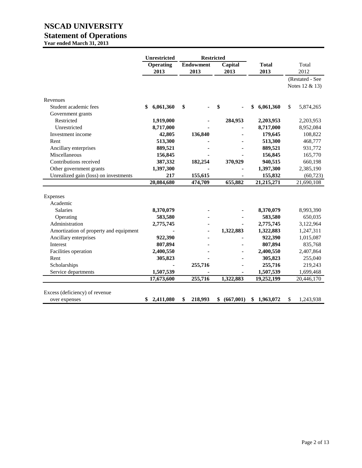# **NSCAD UNIVERSITY Statement of Operations Year ended March 31, 2013**

|                                        | Unrestricted    | <b>Restricted</b> |                 |                 |                 |
|----------------------------------------|-----------------|-------------------|-----------------|-----------------|-----------------|
|                                        | Operating       | <b>Endowment</b>  | Capital         | <b>Total</b>    | Total           |
|                                        | 2013            | 2013              | 2013            | 2013            | 2012            |
|                                        |                 |                   |                 |                 | (Restated - See |
|                                        |                 |                   |                 |                 | Notes 12 & 13)  |
|                                        |                 |                   |                 |                 |                 |
| Revenues                               |                 |                   |                 |                 |                 |
| Student academic fees                  | \$<br>6,061,360 | \$                | \$              | \$<br>6,061,360 | \$<br>5,874,265 |
| Government grants                      |                 |                   |                 |                 |                 |
| Restricted                             | 1,919,000       |                   | 284,953         | 2,203,953       | 2,203,953       |
| Unrestricted                           | 8,717,000       |                   |                 | 8,717,000       | 8,952,084       |
| Investment income                      | 42,805          | 136,840           |                 | 179,645         | 108,822         |
| Rent                                   | 513,300         |                   |                 | 513,300         | 468,777         |
| Ancillary enterprises                  | 889,521         |                   |                 | 889,521         | 931,772         |
| Miscellaneous                          | 156,845         |                   |                 | 156,845         | 165,770         |
| Contributions received                 | 387,332         | 182,254           | 370,929         | 940,515         | 660,198         |
| Other government grants                | 1,397,300       |                   |                 | 1,397,300       | 2,385,190       |
| Unrealized gain (loss) on investments  | 217             | 155,615           |                 | 155,832         | (60, 723)       |
|                                        | 20,084,680      | 474,709           | 655,882         | 21, 215, 271    | 21,690,108      |
|                                        |                 |                   |                 |                 |                 |
| Expenses                               |                 |                   |                 |                 |                 |
| Academic                               |                 |                   |                 |                 |                 |
| <b>Salaries</b>                        | 8,370,079       |                   |                 | 8,370,079       | 8,993,390       |
| Operating                              | 583,580         |                   |                 | 583,580         | 650,035         |
| Administration                         | 2,775,745       |                   |                 | 2,775,745       | 3,122,964       |
| Amortization of property and equipment |                 |                   | 1,322,883       | 1,322,883       | 1,247,311       |
| Ancillary enterprises                  | 922,390         |                   |                 | 922,390         | 1,015,087       |
| Interest                               | 807,894         |                   |                 | 807,894         | 835,768         |
| Facilities operation                   | 2,400,550       |                   |                 | 2,400,550       | 2,407,864       |
| Rent                                   | 305,823         |                   |                 | 305,823         | 255,040         |
| Scholarships                           |                 | 255,716           |                 | 255,716         | 219,243         |
| Service departments                    | 1,507,539       |                   |                 | 1,507,539       | 1,699,468       |
|                                        | 17,673,600      | 255,716           | 1,322,883       | 19,252,199      | 20,446,170      |
|                                        |                 |                   |                 |                 |                 |
| Excess (deficiency) of revenue         |                 |                   |                 |                 |                 |
| over expenses                          | 2,411,080<br>\$ | 218,993<br>\$     | (667,001)<br>\$ | \$<br>1,963,072 | \$<br>1,243,938 |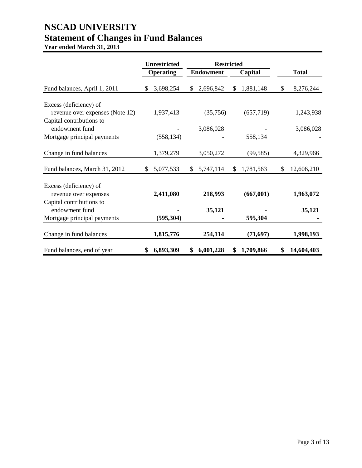# **NSCAD UNIVERSITY Statement of Changes in Fund Balances**

**Year ended March 31, 2013**

|                                                                                       | <b>Unrestricted</b> |                  | <b>Restricted</b> |         |            |    |              |
|---------------------------------------------------------------------------------------|---------------------|------------------|-------------------|---------|------------|----|--------------|
|                                                                                       | <b>Operating</b>    | <b>Endowment</b> |                   | Capital |            |    | <b>Total</b> |
| Fund balances, April 1, 2011                                                          | \$<br>3,698,254     | \$               | 2,696,842         | S       | 1,881,148  | \$ | 8,276,244    |
| Excess (deficiency) of<br>revenue over expenses (Note 12)<br>Capital contributions to | 1,937,413           |                  | (35,756)          |         | (657, 719) |    | 1,243,938    |
| endowment fund                                                                        |                     |                  | 3,086,028         |         |            |    | 3,086,028    |
| Mortgage principal payments                                                           | (558, 134)          |                  |                   |         | 558,134    |    |              |
| Change in fund balances                                                               | 1,379,279           |                  | 3,050,272         |         | (99, 585)  |    | 4,329,966    |
| Fund balances, March 31, 2012                                                         | \$<br>5,077,533     | \$               | 5,747,114         | \$      | 1,781,563  | \$ | 12,606,210   |
| Excess (deficiency) of<br>revenue over expenses                                       | 2,411,080           |                  | 218,993           |         | (667,001)  |    | 1,963,072    |
| Capital contributions to<br>endowment fund<br>Mortgage principal payments             | (595, 304)          |                  | 35,121            |         | 595,304    |    | 35,121       |
| Change in fund balances                                                               | 1,815,776           |                  | 254,114           |         | (71,697)   |    | 1,998,193    |
| Fund balances, end of year                                                            | \$<br>6,893,309     | \$               | 6,001,228         | \$      | 1,709,866  | \$ | 14,604,403   |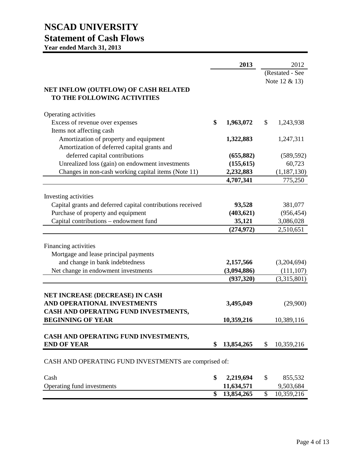# **NSCAD UNIVERSITY Statement of Cash Flows Year ended March 31, 2013**

**2013** 2012 (Restated - See Note 12 & 13) **NET INFLOW (OUTFLOW) OF CASH RELATED TO THE FOLLOWING ACTIVITIES** Operating activities Excess of revenue over expenses **\$ 1,963,072** \$ 1,243,938 Items not affecting cash Amortization of property and equipment 1,322,883 1,247,311 Amortization of deferred capital grants and deferred capital contributions **(655,882)** (589,592) Unrealized loss (gain) on endowment investments (155,615) 60,723 Changes in non-cash working capital items (Note 11) **2,232,883** (1,187,130)  **4,707,341** 775,250 Investing activities Capital grants and deferred capital contributions received **93,528** 381,077 Purchase of property and equipment (403,621) (956,454) Capital contributions – endowment fund<br>
35,121 3,086,028  **(274,972)** 2,510,651 Financing activities Mortgage and lease principal payments and change in bank indebtedness **2,157,566** (3,204,694) Net change in endowment investments **(3,094,886)** (111,107)  **(937,320)** (3,315,801) **NET INCREASE (DECREASE) IN CASH AND OPERATIONAL INVESTMENTS 3,495,049** (29,900) **CASH AND OPERATING FUND INVESTMENTS, BEGINNING OF YEAR** 10,359,216 10,389,116 **CASH AND OPERATING FUND INVESTMENTS, END OF YEAR \$ 13,854,265** \$ 10,359,216 CASH AND OPERATING FUND INVESTMENTS are comprised of:

| Cash                       | 2,219,694    | 855,532      |
|----------------------------|--------------|--------------|
| Operating fund investments | 11,634,571   | 9,503,684    |
|                            | \$13,854,265 | \$10,359,216 |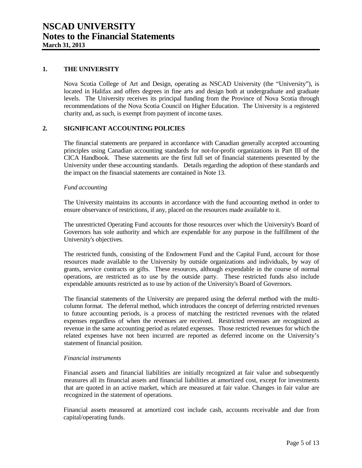# **1. THE UNIVERSITY**

Nova Scotia College of Art and Design, operating as NSCAD University (the "University"), is located in Halifax and offers degrees in fine arts and design both at undergraduate and graduate levels. The University receives its principal funding from the Province of Nova Scotia through recommendations of the Nova Scotia Council on Higher Education. The University is a registered charity and, as such, is exempt from payment of income taxes.

# **2. SIGNIFICANT ACCOUNTING POLICIES**

The financial statements are prepared in accordance with Canadian generally accepted accounting principles using Canadian accounting standards for not-for-profit organizations in Part III of the CICA Handbook. These statements are the first full set of financial statements presented by the University under these accounting standards. Details regarding the adoption of these standards and the impact on the financial statements are contained in Note 13.

## *Fund accounting*

The University maintains its accounts in accordance with the fund accounting method in order to ensure observance of restrictions, if any, placed on the resources made available to it.

The unrestricted Operating Fund accounts for those resources over which the University's Board of Governors has sole authority and which are expendable for any purpose in the fulfillment of the University's objectives.

The restricted funds, consisting of the Endowment Fund and the Capital Fund, account for those resources made available to the University by outside organizations and individuals, by way of grants, service contracts or gifts. These resources, although expendable in the course of normal operations, are restricted as to use by the outside party. These restricted funds also include expendable amounts restricted as to use by action of the University's Board of Governors.

The financial statements of the University are prepared using the deferral method with the multicolumn format. The deferral method, which introduces the concept of deferring restricted revenues to future accounting periods, is a process of matching the restricted revenues with the related expenses regardless of when the revenues are received. Restricted revenues are recognized as revenue in the same accounting period as related expenses. Those restricted revenues for which the related expenses have not been incurred are reported as deferred income on the University's statement of financial position.

## *Financial instruments*

Financial assets and financial liabilities are initially recognized at fair value and subsequently measures all its financial assets and financial liabilities at amortized cost, except for investments that are quoted in an active market, which are measured at fair value. Changes in fair value are recognized in the statement of operations.

Financial assets measured at amortized cost include cash, accounts receivable and due from capital/operating funds.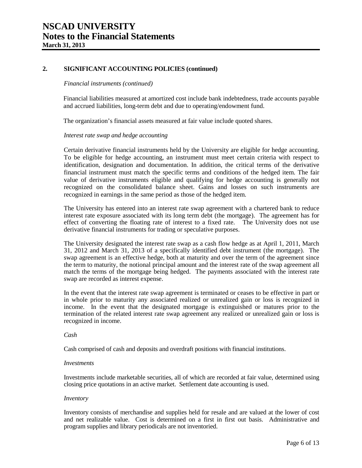# **2. SIGNIFICANT ACCOUNTING POLICIES (continued)**

# *Financial instruments (continued)*

Financial liabilities measured at amortized cost include bank indebtedness, trade accounts payable and accrued liabilities, long-term debt and due to operating/endowment fund.

The organization's financial assets measured at fair value include quoted shares.

# *Interest rate swap and hedge accounting*

Certain derivative financial instruments held by the University are eligible for hedge accounting. To be eligible for hedge accounting, an instrument must meet certain criteria with respect to identification, designation and documentation. In addition, the critical terms of the derivative financial instrument must match the specific terms and conditions of the hedged item. The fair value of derivative instruments eligible and qualifying for hedge accounting is generally not recognized on the consolidated balance sheet. Gains and losses on such instruments are recognized in earnings in the same period as those of the hedged item.

The University has entered into an interest rate swap agreement with a chartered bank to reduce interest rate exposure associated with its long term debt (the mortgage). The agreement has for effect of converting the floating rate of interest to a fixed rate. The University does not use derivative financial instruments for trading or speculative purposes.

The University designated the interest rate swap as a cash flow hedge as at April 1, 2011, March 31, 2012 and March 31, 2013 of a specifically identified debt instrument (the mortgage). The swap agreement is an effective hedge, both at maturity and over the term of the agreement since the term to maturity, the notional principal amount and the interest rate of the swap agreement all match the terms of the mortgage being hedged. The payments associated with the interest rate swap are recorded as interest expense.

In the event that the interest rate swap agreement is terminated or ceases to be effective in part or in whole prior to maturity any associated realized or unrealized gain or loss is recognized in income. In the event that the designated mortgage is extinguished or matures prior to the termination of the related interest rate swap agreement any realized or unrealized gain or loss is recognized in income.

## *Cash*

Cash comprised of cash and deposits and overdraft positions with financial institutions.

## *Investments*

Investments include marketable securities, all of which are recorded at fair value, determined using closing price quotations in an active market. Settlement date accounting is used.

## *Inventory*

Inventory consists of merchandise and supplies held for resale and are valued at the lower of cost and net realizable value. Cost is determined on a first in first out basis. Administrative and program supplies and library periodicals are not inventoried.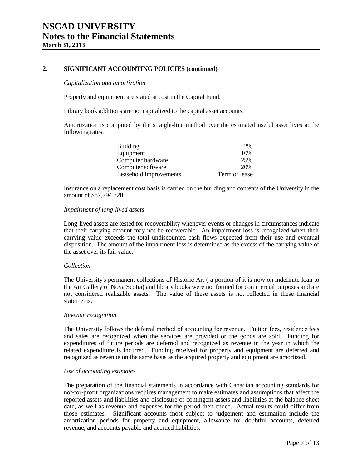# **2. SIGNIFICANT ACCOUNTING POLICIES (continued)**

*Capitalization and amortization*

Property and equipment are stated at cost in the Capital Fund.

Library book additions are not capitalized to the capital asset accounts.

Amortization is computed by the straight-line method over the estimated useful asset lives at the following rates:

| <b>Building</b>        | 2%            |
|------------------------|---------------|
| Equipment              | 10%           |
| Computer hardware      | 25%           |
| Computer software      | 20%           |
| Leasehold improvements | Term of lease |

Insurance on a replacement cost basis is carried on the building and contents of the University in the amount of \$87,794,720.

#### *Impairment of long-lived assets*

Long-lived assets are tested for recoverability whenever events or changes in circumstances indicate that their carrying amount may not be recoverable. An impairment loss is recognized when their carrying value exceeds the total undiscounted cash flows expected from their use and eventual disposition. The amount of the impairment loss is determined as the excess of the carrying value of the asset over its fair value.

#### *Collection*

The University's permanent collections of Historic Art ( a portion of it is now on indefinite loan to the Art Gallery of Nova Scotia) and library books were not formed for commercial purposes and are not considered realizable assets. The value of these assets is not reflected in these financial statements.

#### *Revenue recognition*

The University follows the deferral method of accounting for revenue. Tuition fees, residence fees and sales are recognized when the services are provided or the goods are sold. Funding for expenditures of future periods are deferred and recognized as revenue in the year in which the related expenditure is incurred. Funding received for property and equipment are deferred and recognized as revenue on the same basis as the acquired property and equipment are amortized.

#### *Use of accounting estimates*

The preparation of the financial statements in accordance with Canadian accounting standards for not-for-profit organizations requires management to make estimates and assumptions that affect the reported assets and liabilities and disclosure of contingent assets and liabilities at the balance sheet date, as well as revenue and expenses for the period then ended. Actual results could differ from those estimates. Significant accounts most subject to judgement and estimation include the amortization periods for property and equipment, allowance for doubtful accounts, deferred revenue, and accounts payable and accrued liabilities.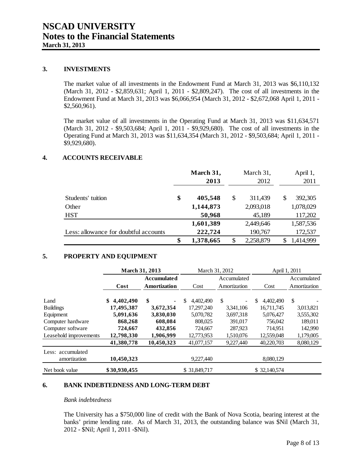# **3. INVESTMENTS**

The market value of all investments in the Endowment Fund at March 31, 2013 was \$6,110,132 (March 31, 2012 - \$2,859,631; April 1, 2011 - \$2,809,247). The cost of all investments in the Endowment Fund at March 31, 2013 was \$6,066,954 (March 31, 2012 - \$2,672,068 April 1, 2011 - \$2,560,961).

The market value of all investments in the Operating Fund at March 31, 2013 was \$11,634,571 (March 31, 2012 - \$9,503,684; April 1, 2011 - \$9,929,680). The cost of all investments in the Operating Fund at March 31, 2013 was \$11,634,354 (March 31, 2012 - \$9,503,684; April 1, 2011 - \$9,929,680).

# **4. ACCOUNTS RECEIVABLE**

|                                       | March 31,<br>2013 |   | March 31,<br>2012 |    | April 1,<br>2011 |
|---------------------------------------|-------------------|---|-------------------|----|------------------|
| Students' tuition                     | \$<br>405,548     | S | 311,439           | \$ | 392,305          |
| Other                                 | 1,144,873         |   | 2,093,018         |    | 1,078,029        |
| <b>HST</b>                            | 50,968            |   | 45,189            |    | 117,202          |
|                                       | 1,601,389         |   | 2,449,646         |    | 1,587,536        |
| Less: allowance for doubtful accounts | 222,724           |   | 190,767           |    | 172,537          |
|                                       | \$<br>1,378,665   | S | 2,258,879         | S  | 1,414,999        |

# **5. PROPERTY AND EQUIPMENT**

|                                   | <b>March 31, 2013</b> |                    |                 | March 31, 2012       | April 1, 2011    |              |
|-----------------------------------|-----------------------|--------------------|-----------------|----------------------|------------------|--------------|
|                                   |                       | <b>Accumulated</b> | Accumulated     |                      |                  | Accumulated  |
|                                   | Cost                  | Amortization       | Cost            | Amortization         | Cost             | Amortization |
| Land                              | 4,402,490<br>\$       | \$<br>٠            | \$<br>4.402.490 | \$<br>$\blacksquare$ | 4.402.490<br>\$. | \$           |
| <b>Buildings</b>                  | 17,495,387            | 3,672,354          | 17,297,240      | 3,341,106            | 16,711,745       | 3,013,821    |
| Equipment                         | 5,091,636             | 3,830,030          | 5,070,782       | 3,697,318            | 5,076,427        | 3,555,302    |
| Computer hardware                 | 868,268               | 608,084            | 808,025         | 391.017              | 756,042          | 189.011      |
| Computer software                 | 724,667               | 432,856            | 724,667         | 287,923              | 714,951          | 142,990      |
| Leasehold improvements            | 12,798,330            | 1,906,999          | 12,773,953      | 1,510,076            | 12,559,048       | 1,179,005    |
|                                   | 41,380,778            | 10,450,323         | 41,077,157      | 9,227,440            | 40,220,703       | 8,080,129    |
| Less: accumulated<br>amortization | 10,450,323            |                    | 9,227,440       |                      | 8,080,129        |              |
| Net book value                    | \$30,930,455          |                    | \$31,849,717    |                      | \$32,140,574     |              |

# **6. BANK INDEBTEDNESS AND LONG-TERM DEBT**

#### *Bank indebtedness*

The University has a \$750,000 line of credit with the Bank of Nova Scotia, bearing interest at the banks' prime lending rate. As of March 31, 2013, the outstanding balance was \$Nil (March 31, 2012 - \$Nil; April 1, 2011 -\$Nil).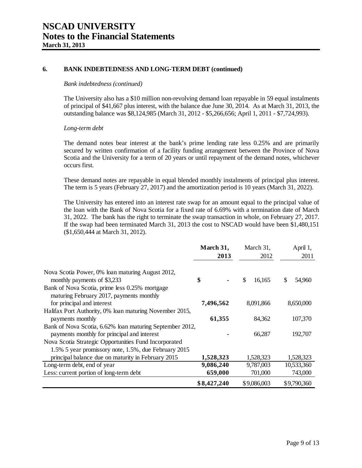# **6. BANK INDEBTEDNESS AND LONG-TERM DEBT (continued)**

#### *Bank indebtedness (continued)*

The University also has a \$10 million non-revolving demand loan repayable in 59 equal instalments of principal of \$41,667 plus interest, with the balance due June 30, 2014. As at March 31, 2013, the outstanding balance was \$8,124,985 (March 31, 2012 - \$5,266,656; April 1, 2011 - \$7,724,993).

## *Long-term debt*

The demand notes bear interest at the bank's prime lending rate less 0.25% and are primarily secured by written confirmation of a facility funding arrangement between the Province of Nova Scotia and the University for a term of 20 years or until repayment of the demand notes, whichever occurs first.

These demand notes are repayable in equal blended monthly instalments of principal plus interest. The term is 5 years (February 27, 2017) and the amortization period is 10 years (March 31, 2022).

The University has entered into an interest rate swap for an amount equal to the principal value of the loan with the Bank of Nova Scotia for a fixed rate of 6.69% with a termination date of March 31, 2022. The bank has the right to terminate the swap transaction in whole, on February 27, 2017. If the swap had been terminated March 31, 2013 the cost to NSCAD would have been \$1,480,151 (\$1,650,444 at March 31, 2012).

|                                                                                            | March 31,<br>2013 | March 31,<br>2012 | April 1,<br>2011 |
|--------------------------------------------------------------------------------------------|-------------------|-------------------|------------------|
| Nova Scotia Power, 0% loan maturing August 2012,                                           |                   |                   |                  |
| monthly payments of \$3,233                                                                | \$                | \$<br>16,165      | \$<br>54,960     |
| Bank of Nova Scotia, prime less 0.25% mortgage<br>maturing February 2017, payments monthly |                   |                   |                  |
| for principal and interest                                                                 | 7,496,562         | 8,091,866         | 8,650,000        |
| Halifax Port Authority, 0% loan maturing November 2015,                                    |                   |                   |                  |
| payments monthly                                                                           | 61,355            | 84,362            | 107,370          |
| Bank of Nova Scotia, 6.62% loan maturing September 2012,                                   |                   |                   |                  |
| payments monthly for principal and interest                                                |                   | 66,287            | 192,707          |
| Nova Scotia Strategic Opportunities Fund Incorporated                                      |                   |                   |                  |
| 1.5% 5 year promissory note, 1.5%, due February 2015                                       |                   |                   |                  |
| principal balance due on maturity in February 2015                                         | 1,528,323         | 1,528,323         | 1,528,323        |
| Long-term debt, end of year                                                                | 9,086,240         | 9,787,003         | 10,533,360       |
| Less: current portion of long-term debt                                                    | 659,000           | 701,000           | 743,000          |
|                                                                                            | \$8,427,240       | \$9,086,003       | \$9,790,360      |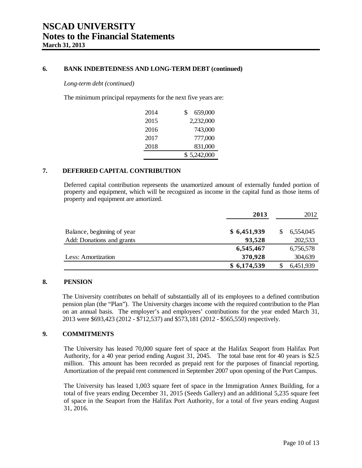# **6. BANK INDEBTEDNESS AND LONG-TERM DEBT (continued)**

# *Long-term debt (continued)*

The minimum principal repayments for the next five years are:

| 2015<br>2016<br>2017<br>2018 |                        |
|------------------------------|------------------------|
|                              | 2,232,000<br>743,000   |
|                              | 777,000                |
|                              | 831,000<br>\$5,242,000 |

# **7. DEFERRED CAPITAL CONTRIBUTION**

Deferred capital contribution represents the unamortized amount of externally funded portion of property and equipment, which will be recognized as income in the capital fund as those items of property and equipment are amortized.

|                            | 2013        | 2012      |
|----------------------------|-------------|-----------|
| Balance, beginning of year | \$6,451,939 | 6,554,045 |
| Add: Donations and grants  | 93,528      | 202,533   |
|                            | 6,545,467   | 6,756,578 |
| Less: Amortization         | 370,928     | 304,639   |
|                            | \$6,174,539 | 6,451,939 |

## **8. PENSION**

The University contributes on behalf of substantially all of its employees to a defined contribution pension plan (the "Plan"). The University charges income with the required contribution to the Plan on an annual basis. The employer's and employees' contributions for the year ended March 31, 2013 were \$693,423 (2012 - \$712,537) and \$573,181 (2012 - \$565,550) respectively.

# **9. COMMITMENTS**

The University has leased 70,000 square feet of space at the Halifax Seaport from Halifax Port Authority, for a 40 year period ending August 31, 2045. The total base rent for 40 years is \$2.5 million. This amount has been recorded as prepaid rent for the purposes of financial reporting. Amortization of the prepaid rent commenced in September 2007 upon opening of the Port Campus.

The University has leased 1,003 square feet of space in the Immigration Annex Building, for a total of five years ending December 31, 2015 (Seeds Gallery) and an additional 5,235 square feet of space in the Seaport from the Halifax Port Authority, for a total of five years ending August 31, 2016.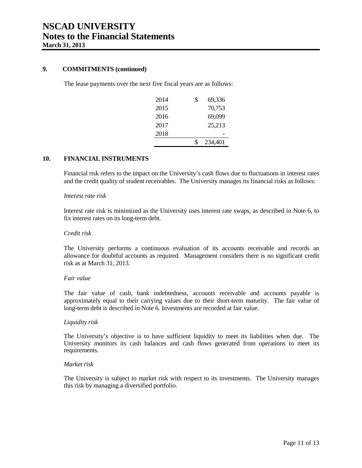# **9. COMMITMENTS (continued)**

The lease payments over the next five fiscal years are as follows:

| 2014 | \$<br>69,336 |
|------|--------------|
| 2015 | 70,753       |
| 2016 | 69,099       |
| 2017 | 25,213       |
| 2018 |              |
|      | 234,401      |

# **10. FINANCIAL INSTRUMENTS**

Financial risk refers to the impact on the University's cash flows due to fluctuations in interest rates and the credit quality of student receivables. The University manages its financial risks as follows:

## *Interest rate risk*

Interest rate risk is minimized as the University uses interest rate swaps, as described in Note 6, to fix interest rates on its long-term debt.

## *Credit risk*

The University performs a continuous evaluation of its accounts receivable and records an allowance for doubtful accounts as required. Management considers there is no significant credit risk as at March 31, 2013.

## *Fair value*

The fair value of cash, bank indebtedness, accounts receivable and accounts payable is approximately equal to their carrying values due to their short-term maturity. The fair value of long-term debt is described in Note 6. Investments are recorded at fair value.

## *Liquidity risk*

The University's objective is to have sufficient liquidity to meet its liabilities when due. The University monitors its cash balances and cash flows generated from operations to meet its requirements.

# *Market risk*

The University is subject to market risk with respect to its investments. The University manages this risk by managing a diversified portfolio.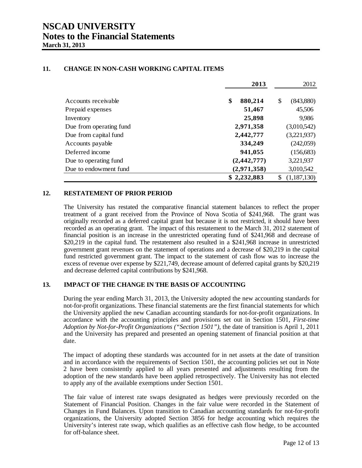|                         | 2013          | 2012              |
|-------------------------|---------------|-------------------|
| Accounts receivable     | \$<br>880,214 | \$<br>(843,880)   |
| Prepaid expenses        | 51,467        | 45,506            |
| Inventory               | 25,898        | 9,986             |
| Due from operating fund | 2,971,358     | (3,010,542)       |
| Due from capital fund   | 2,442,777     | (3,221,937)       |
| Accounts payable        | 334,249       | (242,059)         |
| Deferred income         | 941,055       | (156, 683)        |
| Due to operating fund   | (2,442,777)   | 3,221,937         |
| Due to endowment fund   | (2,971,358)   | 3,010,542         |
|                         | \$2,232,883   | (1,187,130)<br>\$ |

# **11. CHANGE IN NON-CASH WORKING CAPITAL ITEMS**

## **12. RESTATEMENT OF PRIOR PERIOD**

The University has restated the comparative financial statement balances to reflect the proper treatment of a grant received from the Province of Nova Scotia of \$241,968. The grant was originally recorded as a deferred capital grant but because it is not restricted, it should have been recorded as an operating grant. The impact of this restatement to the March 31, 2012 statement of financial position is an increase in the unrestricted operating fund of \$241,968 and decrease of \$20,219 in the capital fund. The restatement also resulted in a \$241,968 increase in unrestricted government grant revenues on the statement of operations and a decrease of \$20,219 in the capital fund restricted government grant. The impact to the statement of cash flow was to increase the excess of revenue over expense by \$221,749, decrease amount of deferred capital grants by \$20,219 and decrease deferred capital contributions by \$241,968.

# **13. IMPACT OF THE CHANGE IN THE BASIS OF ACCOUNTING**

During the year ending March 31, 2013, the University adopted the new accounting standards for not-for-profit organizations. These financial statements are the first financial statements for which the University applied the new Canadian accounting standards for not-for-profit organizations. In accordance with the accounting principles and provisions set out in Section 1501, *First-time Adoption by Not-for-Profit Organizations ("Section 1501")*, the date of transition is April 1, 2011 and the University has prepared and presented an opening statement of financial position at that date.

The impact of adopting these standards was accounted for in net assets at the date of transition and in accordance with the requirements of Section 1501, the accounting policies set out in Note 2 have been consistently applied to all years presented and adjustments resulting from the adoption of the new standards have been applied retrospectively. The University has not elected to apply any of the available exemptions under Section 1501.

The fair value of interest rate swaps designated as hedges were previously recorded on the Statement of Financial Position. Changes in the fair value were recorded in the Statement of Changes in Fund Balances. Upon transition to Canadian accounting standards for not-for-profit organizations, the University adopted Section 3856 for hedge accounting which requires the University's interest rate swap, which qualifies as an effective cash flow hedge, to be accounted for off-balance sheet.